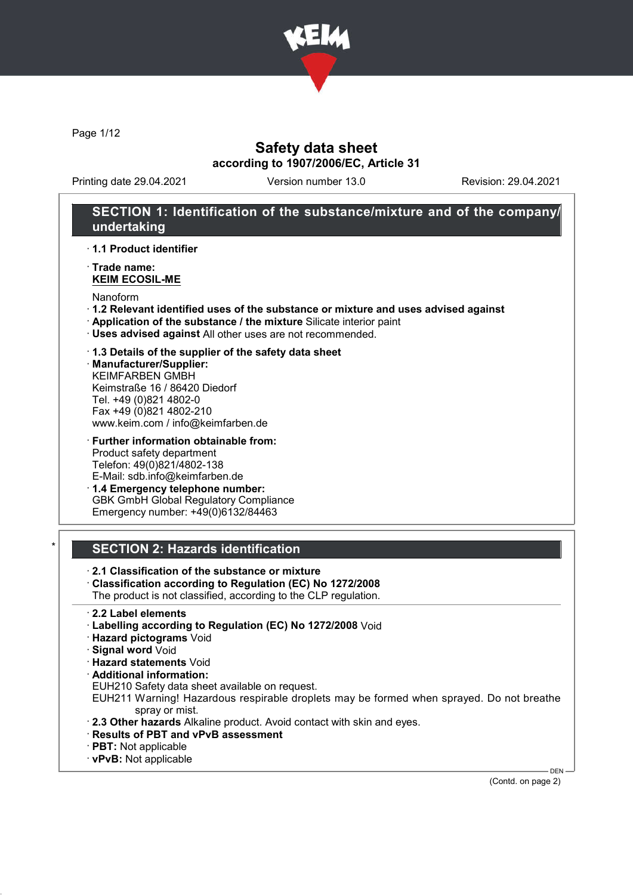

Page 1/12

### Safety data sheet according to 1907/2006/EC, Article 31

Printing date 29.04.2021 Version number 13.0 Revision: 29.04.2021

# SECTION 1: Identification of the substance/mixture and of the company/ undertaking

· 1.1 Product identifier

· Trade name: KEIM ECOSIL-ME

Nanoform

- · 1.2 Relevant identified uses of the substance or mixture and uses advised against
- · Application of the substance / the mixture Silicate interior paint
- · Uses advised against All other uses are not recommended.

· 1.3 Details of the supplier of the safety data sheet

· Manufacturer/Supplier: KEIMFARBEN GMBH Keimstraße 16 / 86420 Diedorf Tel. +49 (0)821 4802-0 Fax +49 (0)821 4802-210 www.keim.com / info@keimfarben.de

· Further information obtainable from: Product safety department Telefon: 49(0)821/4802-138 E-Mail: sdb.info@keimfarben.de

· 1.4 Emergency telephone number: GBK GmbH Global Regulatory Compliance Emergency number: +49(0)6132/84463

### **SECTION 2: Hazards identification**

· 2.1 Classification of the substance or mixture

· Classification according to Regulation (EC) No 1272/2008

The product is not classified, according to the CLP regulation.

- · 2.2 Label elements
- · Labelling according to Regulation (EC) No 1272/2008 Void
- · Hazard pictograms Void
- · Signal word Void
- · Hazard statements Void
- · Additional information:
- EUH210 Safety data sheet available on request.

EUH211 Warning! Hazardous respirable droplets may be formed when sprayed. Do not breathe spray or mist.

- · 2.3 Other hazards Alkaline product. Avoid contact with skin and eyes.
- · Results of PBT and vPvB assessment
- · PBT: Not applicable
- · vPvB: Not applicable

(Contd. on page 2)

DEN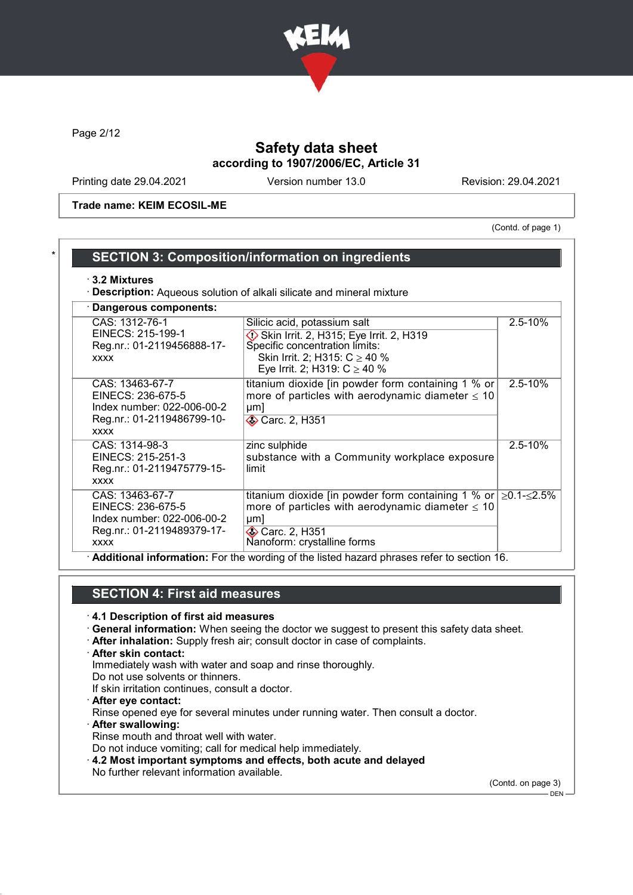

Page 2/12

# Safety data sheet according to 1907/2006/EC, Article 31

Printing date 29.04.2021 Version number 13.0 Revision: 29.04.2021

Trade name: KEIM ECOSIL-ME

(Contd. of page 1)

# SECTION 3: Composition/information on ingredients

#### · 3.2 Mixtures

· Description: Aqueous solution of alkali silicate and mineral mixture

| · Dangerous components:                                                                                         |                                                                                                                                                                                                                                                                               |                  |
|-----------------------------------------------------------------------------------------------------------------|-------------------------------------------------------------------------------------------------------------------------------------------------------------------------------------------------------------------------------------------------------------------------------|------------------|
| CAS: 1312-76-1<br>EINECS: 215-199-1<br>Reg.nr.: 01-2119456888-17-<br><b>XXXX</b>                                | Silicic acid, potassium salt<br>Skin Irrit. 2, H315; Eye Irrit. 2, H319<br>Specific concentration limits:<br>Skin Irrit. 2; H315: $C \ge 40$ %<br>Eye Irrit. 2; H319: $C \ge 40$ %                                                                                            | $2.5 - 10%$      |
| CAS: 13463-67-7<br>EINECS: 236-675-5<br>Index number: 022-006-00-2<br>Reg.nr.: 01-2119486799-10-<br><b>XXXX</b> | titanium dioxide [in powder form containing 1 % or<br>more of particles with aerodynamic diameter $\leq 10$<br>µm<br><b>◆ Carc. 2, H351</b>                                                                                                                                   | $2.5 - 10\%$     |
| CAS: 1314-98-3<br>EINECS: 215-251-3<br>Reg.nr.: 01-2119475779-15-<br><b>XXXX</b>                                | zinc sulphide<br>substance with a Community workplace exposure<br>limit                                                                                                                                                                                                       | $2.5 - 10%$      |
| CAS: 13463-67-7<br>EINECS: 236-675-5<br>Index number: 022-006-00-2<br>Reg.nr.: 01-2119489379-17-<br><b>XXXX</b> | titanium dioxide [in powder form containing 1 % or<br>more of particles with aerodynamic diameter $\leq 10$<br>$\mu$ m<br><b>◈ Carc. 2, H351</b><br>Nanoform: crystalline forms<br>. Additional information: Ear the wording of the listed begard phrases refer to section 16 | $≥0.1$ - $≤2.5%$ |

· Additional information: For the wording of the listed hazard phrases refer to section 16.

# SECTION 4: First aid measures

- · 4.1 Description of first aid measures
- · General information: When seeing the doctor we suggest to present this safety data sheet.
- · After inhalation: Supply fresh air; consult doctor in case of complaints.
- · After skin contact: Immediately wash with water and soap and rinse thoroughly. Do not use solvents or thinners. If skin irritation continues, consult a doctor.
- · After eye contact:
- Rinse opened eye for several minutes under running water. Then consult a doctor.
- · After swallowing:
- Rinse mouth and throat well with water.
- Do not induce vomiting; call for medical help immediately.
- · 4.2 Most important symptoms and effects, both acute and delayed
- No further relevant information available.

(Contd. on page 3)

 $-$  DEN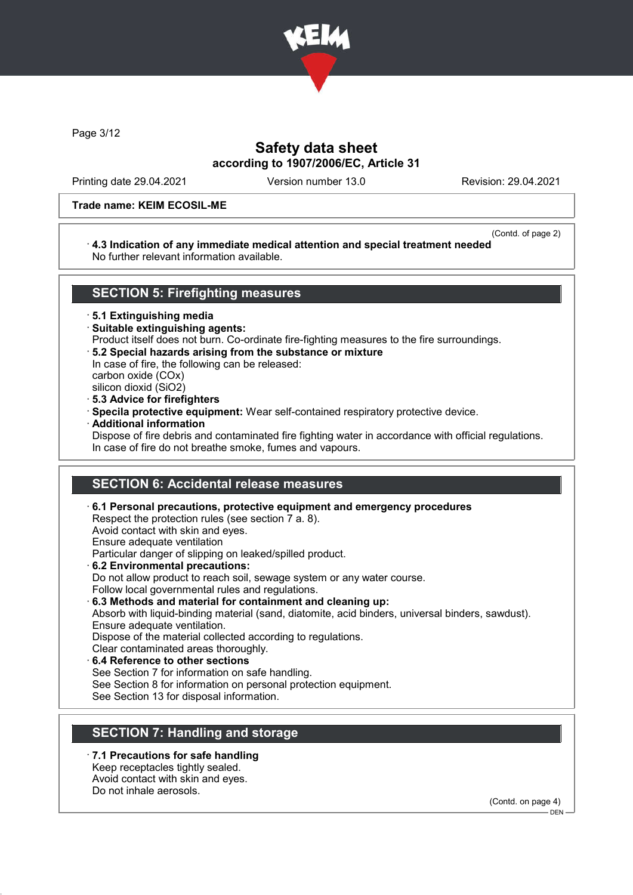

Page 3/12

## Safety data sheet according to 1907/2006/EC, Article 31

Printing date 29.04.2021 Version number 13.0 Revision: 29.04.2021

#### Trade name: KEIM ECOSIL-ME

### (Contd. of page 2)

#### · 4.3 Indication of any immediate medical attention and special treatment needed No further relevant information available.

### SECTION 5: Firefighting measures

· 5.1 Extinguishing media

- · Suitable extinguishing agents:
- Product itself does not burn. Co-ordinate fire-fighting measures to the fire surroundings.
- · 5.2 Special hazards arising from the substance or mixture
- In case of fire, the following can be released: carbon oxide (COx)

silicon dioxid (SiO2)

- · 5.3 Advice for firefighters
- · Specila protective equipment: Wear self-contained respiratory protective device.
- · Additional information

Dispose of fire debris and contaminated fire fighting water in accordance with official regulations. In case of fire do not breathe smoke, fumes and vapours.

### SECTION 6: Accidental release measures

· 6.1 Personal precautions, protective equipment and emergency procedures Respect the protection rules (see section 7 a. 8). Avoid contact with skin and eyes. Ensure adequate ventilation Particular danger of slipping on leaked/spilled product. · 6.2 Environmental precautions: Do not allow product to reach soil, sewage system or any water course. Follow local governmental rules and regulations. · 6.3 Methods and material for containment and cleaning up: Absorb with liquid-binding material (sand, diatomite, acid binders, universal binders, sawdust). Ensure adequate ventilation. Dispose of the material collected according to regulations. Clear contaminated areas thoroughly. 6.4 Reference to other sections See Section 7 for information on safe handling.

See Section 8 for information on personal protection equipment.

See Section 13 for disposal information.

## SECTION 7: Handling and storage

7.1 Precautions for safe handling Keep receptacles tightly sealed. Avoid contact with skin and eyes.

Do not inhale aerosols.

(Contd. on page 4)

 $-$  DEN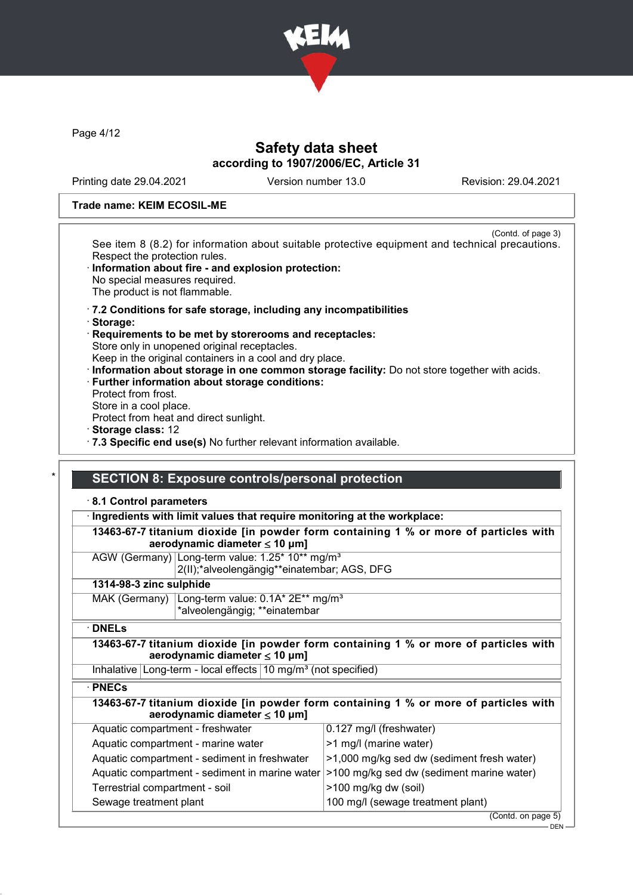

Page 4/12

### Safety data sheet according to 1907/2006/EC, Article 31

Printing date 29.04.2021 Version number 13.0 Revision: 29.04.2021

#### Trade name: KEIM ECOSIL-ME

(Contd. of page 3) See item 8 (8.2) for information about suitable protective equipment and technical precautions. Respect the protection rules.

- · Information about fire and explosion protection: No special measures required. The product is not flammable.
- · 7.2 Conditions for safe storage, including any incompatibilities
- · Storage:
- Requirements to be met by storerooms and receptacles: Store only in unopened original receptacles.
- Keep in the original containers in a cool and dry place.
- · Information about storage in one common storage facility: Do not store together with acids.
- · Further information about storage conditions:
- Protect from frost.
- Store in a cool place.
- Protect from heat and direct sunlight.
- · Storage class: 12
- · 7.3 Specific end use(s) No further relevant information available.

### SECTION 8: Exposure controls/personal protection

#### · 8.1 Control parameters

· Ingredients with limit values that require monitoring at the workplace:

|                                        | 13463-67-7 titanium dioxide [in powder form containing 1 % or more of particles with |
|----------------------------------------|--------------------------------------------------------------------------------------|
| aerodynamic diameter $\leq 10 \mu m$ ] |                                                                                      |

AGW (Germany) Long-term value: 1.25\* 10\*\* mg/m<sup>3</sup>

2(II);\*alveolengängig\*\*einatembar; AGS, DFG

### 1314-98-3 zinc sulphide

| MAK (Germany) Long-term value: 0.1A* 2E** mg/m <sup>3</sup> |  |
|-------------------------------------------------------------|--|
| *alveolengängig; **einatembar                               |  |

· DNELs

13463-67-7 titanium dioxide [in powder form containing 1 % or more of particles with aerodynamic diameter ≤ 10 μm]

Inhalative Long-term - local effects  $10 \text{ mg/m}^3$  (not specified)

#### · PNECs

| aerodynamic diameter $\leq 10 \mu m$ ] | 13463-67-7 titanium dioxide [in powder form containing 1 % or more of particles with |
|----------------------------------------|--------------------------------------------------------------------------------------|
| Aquatic compartment - freshwater       | $\vert 0.127 \text{ mg/l}$ (freshwater)                                              |

| $1.999910$ volliplate the through the state.                                              | $0.127$ $1.1971$ ( $1.0011$                |
|-------------------------------------------------------------------------------------------|--------------------------------------------|
| Aquatic compartment - marine water                                                        | $\geq$ 1 mg/l (marine water)               |
| Aquatic compartment - sediment in freshwater                                              | -1,000 mg/kg sed dw (sediment fresh water) |
| Aquatic compartment - sediment in marine water  >100 mg/kg sed dw (sediment marine water) |                                            |
| Terrestrial compartment - soil                                                            | >100 mg/kg dw (soil)                       |
| Sewage treatment plant                                                                    | 100 mg/l (sewage treatment plant)          |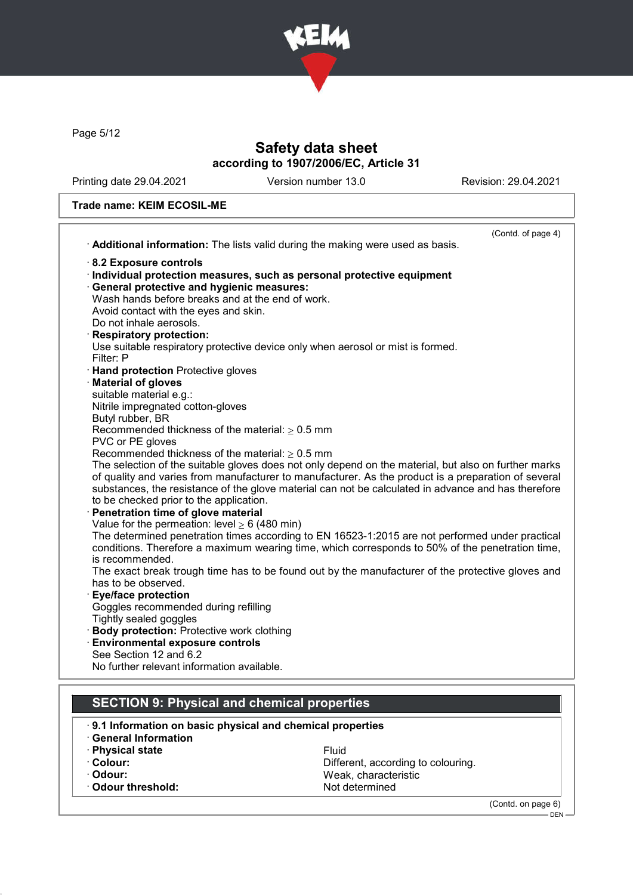

Page 5/12

# Safety data sheet according to 1907/2006/EC, Article 31

Printing date 29.04.2021 Version number 13.0 Revision: 29.04.2021

### Trade name: KEIM ECOSIL-ME

|                                                                                 | (Contd. of page 4)                                                                                   |
|---------------------------------------------------------------------------------|------------------------------------------------------------------------------------------------------|
| Additional information: The lists valid during the making were used as basis.   |                                                                                                      |
| 8.2 Exposure controls                                                           |                                                                                                      |
| Individual protection measures, such as personal protective equipment           |                                                                                                      |
| <b>General protective and hygienic measures:</b>                                |                                                                                                      |
| Wash hands before breaks and at the end of work.                                |                                                                                                      |
| Avoid contact with the eyes and skin.                                           |                                                                                                      |
| Do not inhale aerosols.                                                         |                                                                                                      |
| <b>Respiratory protection:</b>                                                  |                                                                                                      |
| Use suitable respiratory protective device only when aerosol or mist is formed. |                                                                                                      |
| Filter: P                                                                       |                                                                                                      |
| <b>Hand protection</b> Protective gloves                                        |                                                                                                      |
| <b>Material of gloves</b>                                                       |                                                                                                      |
| suitable material e.g.:                                                         |                                                                                                      |
| Nitrile impregnated cotton-gloves                                               |                                                                                                      |
| Butyl rubber, BR                                                                |                                                                                                      |
| Recommended thickness of the material: $\geq 0.5$ mm                            |                                                                                                      |
| PVC or PE gloves                                                                |                                                                                                      |
| Recommended thickness of the material: $> 0.5$ mm                               |                                                                                                      |
|                                                                                 | The selection of the suitable gloves does not only depend on the material, but also on further marks |
|                                                                                 | of quality and varies from manufacturer to manufacturer. As the product is a preparation of several  |
|                                                                                 | substances, the resistance of the glove material can not be calculated in advance and has therefore  |
| to be checked prior to the application.                                         |                                                                                                      |
| Penetration time of glove material                                              |                                                                                                      |
| Value for the permeation: level $\geq 6$ (480 min)                              |                                                                                                      |
|                                                                                 | The determined penetration times according to EN 16523-1:2015 are not performed under practical      |
|                                                                                 | conditions. Therefore a maximum wearing time, which corresponds to 50% of the penetration time,      |
| is recommended.                                                                 |                                                                                                      |
|                                                                                 | The exact break trough time has to be found out by the manufacturer of the protective gloves and     |
| has to be observed.                                                             |                                                                                                      |
| <b>Eye/face protection</b>                                                      |                                                                                                      |
| Goggles recommended during refilling                                            |                                                                                                      |
| Tightly sealed goggles                                                          |                                                                                                      |
| <b>Body protection: Protective work clothing</b>                                |                                                                                                      |
| <b>Environmental exposure controls</b>                                          |                                                                                                      |
| See Section 12 and 6.2                                                          |                                                                                                      |
| No further relevant information available.                                      |                                                                                                      |
|                                                                                 |                                                                                                      |
|                                                                                 |                                                                                                      |
| <b>SECTION 9: Physical and chemical properties</b>                              |                                                                                                      |
|                                                                                 |                                                                                                      |
| 9.1 Information on basic physical and chemical properties                       |                                                                                                      |
| <b>General Information</b>                                                      |                                                                                                      |
| · Physical state                                                                | Fluid                                                                                                |
| Colour:                                                                         | Different, according to colouring.                                                                   |
| · Odour:                                                                        | Weak, characteristic                                                                                 |
| <b>Odour threshold:</b>                                                         | Not determined                                                                                       |
|                                                                                 |                                                                                                      |
|                                                                                 | (Contd. on page 6)                                                                                   |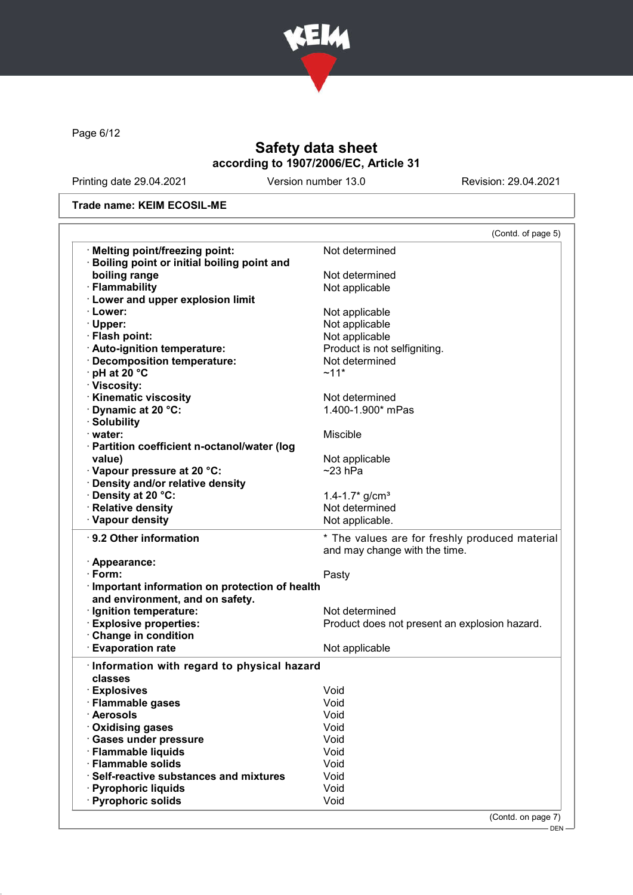

Page 6/12

# Safety data sheet according to 1907/2006/EC, Article 31

Printing date 29.04.2021 Version number 13.0 Revision: 29.04.2021

### Trade name: KEIM ECOSIL-ME

|                                                               | (Contd. of page 5)                             |
|---------------------------------------------------------------|------------------------------------------------|
| · Melting point/freezing point:                               | Not determined                                 |
| <b>Boiling point or initial boiling point and</b>             |                                                |
| boiling range                                                 | Not determined                                 |
| · Flammability                                                | Not applicable                                 |
| · Lower and upper explosion limit                             |                                                |
| · Lower:                                                      | Not applicable                                 |
| · Upper:                                                      | Not applicable                                 |
| · Flash point:                                                | Not applicable                                 |
| · Auto-ignition temperature:                                  | Product is not selfigniting.                   |
| · Decomposition temperature:                                  | Not determined                                 |
| $\cdot$ pH at 20 $\degree$ C                                  | $~11*$                                         |
| · Viscosity:                                                  |                                                |
| · Kinematic viscosity                                         | Not determined                                 |
| Dynamic at 20 °C:                                             | 1.400-1.900* mPas                              |
| · Solubility                                                  |                                                |
| · water:                                                      | Miscible                                       |
| · Partition coefficient n-octanol/water (log                  |                                                |
| value)                                                        | Not applicable                                 |
| · Vapour pressure at 20 °C:                                   | $~23$ hPa                                      |
| · Density and/or relative density                             |                                                |
| · Density at 20 °C:                                           | 1.4-1.7 $*$ g/cm <sup>3</sup>                  |
| · Relative density                                            | Not determined                                 |
| · Vapour density                                              | Not applicable.                                |
| · 9.2 Other information                                       | * The values are for freshly produced material |
|                                                               | and may change with the time.                  |
| · Appearance:<br>$\cdot$ Form:                                |                                                |
|                                                               | Pasty                                          |
| · Important information on protection of health               |                                                |
| and environment, and on safety.                               |                                                |
| · Ignition temperature:                                       | Not determined                                 |
| <b>Explosive properties:</b>                                  | Product does not present an explosion hazard.  |
| Change in condition                                           |                                                |
| <b>Evaporation rate</b>                                       | Not applicable                                 |
| Information with regard to physical hazard                    |                                                |
| classes                                                       |                                                |
| · Explosives                                                  | Void                                           |
| · Flammable gases                                             | Void                                           |
|                                                               |                                                |
| · Aerosols                                                    | Void                                           |
| <b>Oxidising gases</b>                                        | Void                                           |
| · Gases under pressure                                        | Void                                           |
| · Flammable liquids                                           | Void                                           |
|                                                               | Void                                           |
| · Flammable solids<br>· Self-reactive substances and mixtures | Void                                           |
| · Pyrophoric liquids<br>· Pyrophoric solids                   | Void                                           |

(Contd. on page 7)

DEN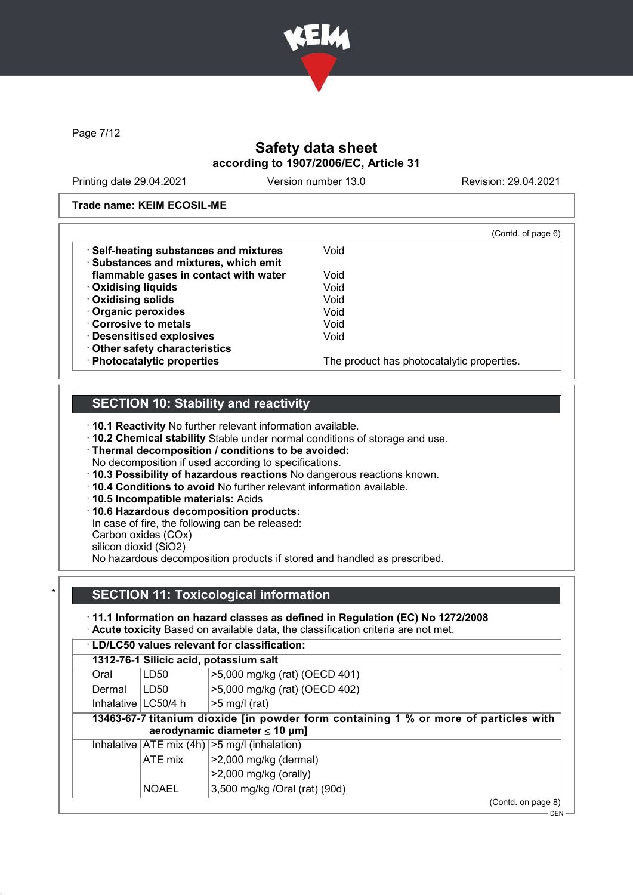

Page 7/12

# Safety data sheet according to 1907/2006/EC, Article 31

Printing date 29.04.2021 Version number 13.0 Revision: 29.04.2021

#### Trade name: KEIM ECOSIL-ME

|                                        | (Contd. of page 6)                         |
|----------------------------------------|--------------------------------------------|
| · Self-heating substances and mixtures | Void                                       |
| · Substances and mixtures, which emit  |                                            |
| flammable gases in contact with water  | Void                                       |
| <b>Oxidising liquids</b>               | Void                                       |
| · Oxidising solids                     | Void                                       |
| Organic peroxides                      | Void                                       |
| Corrosive to metals                    | Void                                       |
| · Desensitised explosives              | Void                                       |
| Other safety characteristics           |                                            |
| · Photocatalytic properties            | The product has photocatalytic properties. |

## SECTION 10: Stability and reactivity

· 10.1 Reactivity No further relevant information available.

- · 10.2 Chemical stability Stable under normal conditions of storage and use.
- · Thermal decomposition / conditions to be avoided:
- No decomposition if used according to specifications.
- · 10.3 Possibility of hazardous reactions No dangerous reactions known.
- · 10.4 Conditions to avoid No further relevant information available.
- · 10.5 Incompatible materials: Acids
- · 10.6 Hazardous decomposition products:
- In case of fire, the following can be released:
- Carbon oxides (COx)

silicon dioxid (SiO2)

No hazardous decomposition products if stored and handled as prescribed.

## **SECTION 11: Toxicological information**

· 11.1 Information on hazard classes as defined in Regulation (EC) No 1272/2008 · Acute toxicity Based on available data, the classification criteria are not met.

· LD/LC50 values relevant for classification:

| Oral                                                                                                                       | 1312-76-1 Silicic acid, potassium salt<br>LD50 | >5,000 mg/kg (rat) (OECD 401)                                                                  |
|----------------------------------------------------------------------------------------------------------------------------|------------------------------------------------|------------------------------------------------------------------------------------------------|
| Dermal                                                                                                                     | LD50                                           | >5,000 mg/kg (rat) (OECD 402)                                                                  |
|                                                                                                                            | Inhalative $ LC50/4$ h                         | $>5$ mg/l (rat)                                                                                |
| 13463-67-7 titanium dioxide [in powder form containing 1 % or more of particles with<br>aerodynamic diameter $\leq 10$ µm] |                                                |                                                                                                |
|                                                                                                                            |                                                |                                                                                                |
|                                                                                                                            | ATE mix                                        | Inhalative $ ATE \text{ mix } (4h)  > 5 \text{ mg/l } (inhalation)$<br>$>2,000$ mg/kg (dermal) |
|                                                                                                                            | <b>NOAEL</b>                                   | $>2,000$ mg/kg (orally)<br>3,500 mg/kg /Oral (rat) (90d)                                       |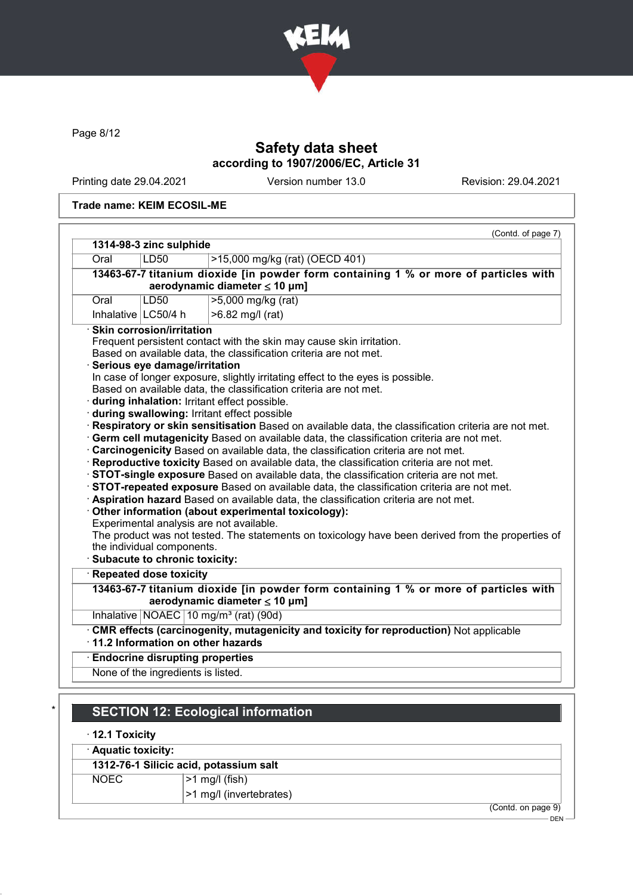

Page 8/12

# Safety data sheet according to 1907/2006/EC, Article 31

Printing date 29.04.2021 Version number 13.0 Revision: 29.04.2021

#### Trade name: KEIM ECOSIL-ME

| 1314-98-3 zinc sulphide<br>Oral                                                                     | LD50                                   | >15,000 mg/kg (rat) (OECD 401)                                                                                                                                                 |
|-----------------------------------------------------------------------------------------------------|----------------------------------------|--------------------------------------------------------------------------------------------------------------------------------------------------------------------------------|
|                                                                                                     |                                        | 13463-67-7 titanium dioxide [in powder form containing 1 % or more of particles with                                                                                           |
|                                                                                                     |                                        | aerodynamic diameter $\leq 10$ µm]                                                                                                                                             |
| Oral                                                                                                | LD50                                   | >5,000 mg/kg (rat)                                                                                                                                                             |
|                                                                                                     | Inhalative $ LC50/4$ h                 | >6.82 mg/l (rat)                                                                                                                                                               |
|                                                                                                     | $\cdot$ Skin corrosion/irritation      |                                                                                                                                                                                |
|                                                                                                     |                                        | Frequent persistent contact with the skin may cause skin irritation.                                                                                                           |
|                                                                                                     |                                        | Based on available data, the classification criteria are not met.                                                                                                              |
|                                                                                                     | Serious eye damage/irritation          |                                                                                                                                                                                |
|                                                                                                     |                                        | In case of longer exposure, slightly irritating effect to the eyes is possible.                                                                                                |
|                                                                                                     |                                        | Based on available data, the classification criteria are not met.                                                                                                              |
|                                                                                                     |                                        | during inhalation: Irritant effect possible.                                                                                                                                   |
|                                                                                                     |                                        | during swallowing: Irritant effect possible                                                                                                                                    |
| Respiratory or skin sensitisation Based on available data, the classification criteria are not met. |                                        |                                                                                                                                                                                |
|                                                                                                     |                                        |                                                                                                                                                                                |
|                                                                                                     |                                        | Germ cell mutagenicity Based on available data, the classification criteria are not met.                                                                                       |
|                                                                                                     |                                        |                                                                                                                                                                                |
|                                                                                                     |                                        | Carcinogenicity Based on available data, the classification criteria are not met.<br>· Reproductive toxicity Based on available data, the classification criteria are not met. |
|                                                                                                     |                                        | STOT-single exposure Based on available data, the classification criteria are not met.                                                                                         |
|                                                                                                     |                                        | STOT-repeated exposure Based on available data, the classification criteria are not met.                                                                                       |
|                                                                                                     |                                        | Aspiration hazard Based on available data, the classification criteria are not met.                                                                                            |
|                                                                                                     |                                        | Other information (about experimental toxicology):                                                                                                                             |
|                                                                                                     |                                        | Experimental analysis are not available.                                                                                                                                       |
|                                                                                                     |                                        | The product was not tested. The statements on toxicology have been derived from the properties of                                                                              |
|                                                                                                     | the individual components.             |                                                                                                                                                                                |
|                                                                                                     | · Subacute to chronic toxicity:        |                                                                                                                                                                                |
|                                                                                                     | Repeated dose toxicity                 |                                                                                                                                                                                |
|                                                                                                     |                                        | 13463-67-7 titanium dioxide [in powder form containing 1 % or more of particles with                                                                                           |
|                                                                                                     |                                        | aerodynamic diameter ≤ 10 µm]                                                                                                                                                  |
|                                                                                                     |                                        | Inhalative NOAEC 10 mg/m <sup>3</sup> (rat) (90d)                                                                                                                              |
|                                                                                                     |                                        | · CMR effects (carcinogenity, mutagenicity and toxicity for reproduction) Not applicable                                                                                       |
|                                                                                                     | · 11.2 Information on other hazards    |                                                                                                                                                                                |
|                                                                                                     | <b>Endocrine disrupting properties</b> |                                                                                                                                                                                |

# **SECTION 12: Ecological information**

### · 12.1 Toxicity

· Aquatic toxicity:

# 1312-76-1 Silicic acid, potassium salt

NOEC |>1 mg/l (fish)

>1 mg/l (invertebrates)

(Contd. on page 9)

<sup>–</sup> DEN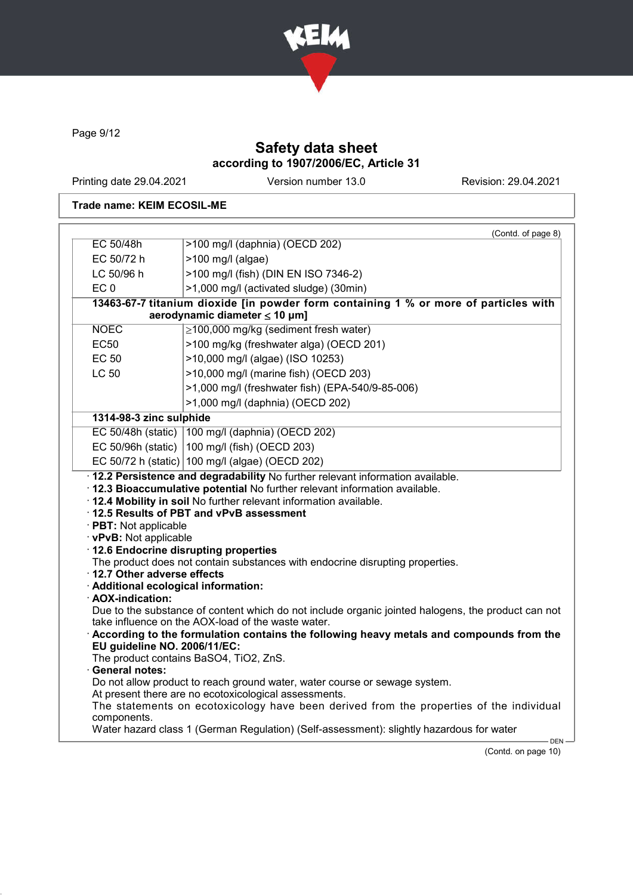

Page 9/12

# Safety data sheet according to 1907/2006/EC, Article 31

Printing date 29.04.2021 Version number 13.0 Revision: 29.04.2021

### Trade name: KEIM ECOSIL-ME

| EC 50/48h                                                                                                                                                       |                                                                                                                                                                                                                                                                                               |  |
|-----------------------------------------------------------------------------------------------------------------------------------------------------------------|-----------------------------------------------------------------------------------------------------------------------------------------------------------------------------------------------------------------------------------------------------------------------------------------------|--|
|                                                                                                                                                                 | >100 mg/l (daphnia) (OECD 202)                                                                                                                                                                                                                                                                |  |
| EC 50/72 h                                                                                                                                                      | $>100$ mg/l (algae)                                                                                                                                                                                                                                                                           |  |
| LC 50/96 h                                                                                                                                                      | >100 mg/l (fish) (DIN EN ISO 7346-2)                                                                                                                                                                                                                                                          |  |
| EC <sub>0</sub>                                                                                                                                                 | >1,000 mg/l (activated sludge) (30min)                                                                                                                                                                                                                                                        |  |
| 13463-67-7 titanium dioxide [in powder form containing 1 % or more of particles with<br>aerodynamic diameter $\leq 10$ µm]                                      |                                                                                                                                                                                                                                                                                               |  |
| <b>NOEC</b>                                                                                                                                                     | $\geq$ 100,000 mg/kg (sediment fresh water)                                                                                                                                                                                                                                                   |  |
| <b>EC50</b>                                                                                                                                                     | >100 mg/kg (freshwater alga) (OECD 201)                                                                                                                                                                                                                                                       |  |
| <b>EC 50</b>                                                                                                                                                    | >10,000 mg/l (algae) (ISO 10253)                                                                                                                                                                                                                                                              |  |
| <b>LC 50</b>                                                                                                                                                    | >10,000 mg/l (marine fish) (OECD 203)                                                                                                                                                                                                                                                         |  |
|                                                                                                                                                                 |                                                                                                                                                                                                                                                                                               |  |
|                                                                                                                                                                 | >1,000 mg/l (freshwater fish) (EPA-540/9-85-006)                                                                                                                                                                                                                                              |  |
|                                                                                                                                                                 | >1,000 mg/l (daphnia) (OECD 202)                                                                                                                                                                                                                                                              |  |
| 1314-98-3 zinc sulphide                                                                                                                                         |                                                                                                                                                                                                                                                                                               |  |
|                                                                                                                                                                 | EC 50/48h (static)   100 mg/l (daphnia) (OECD 202)                                                                                                                                                                                                                                            |  |
|                                                                                                                                                                 | EC 50/96h (static) $ 100 \text{ mg/l}$ (fish) (OECD 203)                                                                                                                                                                                                                                      |  |
|                                                                                                                                                                 | EC 50/72 h (static)   100 mg/l (algae) (OECD 202)                                                                                                                                                                                                                                             |  |
|                                                                                                                                                                 | . 12.2 Persistence and degradability No further relevant information available.<br>· 12.3 Bioaccumulative potential No further relevant information available.<br>. 12.4 Mobility in soil No further relevant information available.                                                          |  |
| · PBT: Not applicable<br>· vPvB: Not applicable<br>· 12.6 Endocrine disrupting properties<br>12.7 Other adverse effects<br>· Additional ecological information: | 12.5 Results of PBT and vPvB assessment<br>The product does not contain substances with endocrine disrupting properties.                                                                                                                                                                      |  |
| · AOX-indication:<br>EU guideline NO. 2006/11/EC:<br><b>General notes:</b>                                                                                      | Due to the substance of content which do not include organic jointed halogens, the product can not<br>take influence on the AOX-load of the waste water.<br>According to the formulation contains the following heavy metals and compounds from the<br>The product contains BaSO4, TiO2, ZnS. |  |

(Contd. on page 10)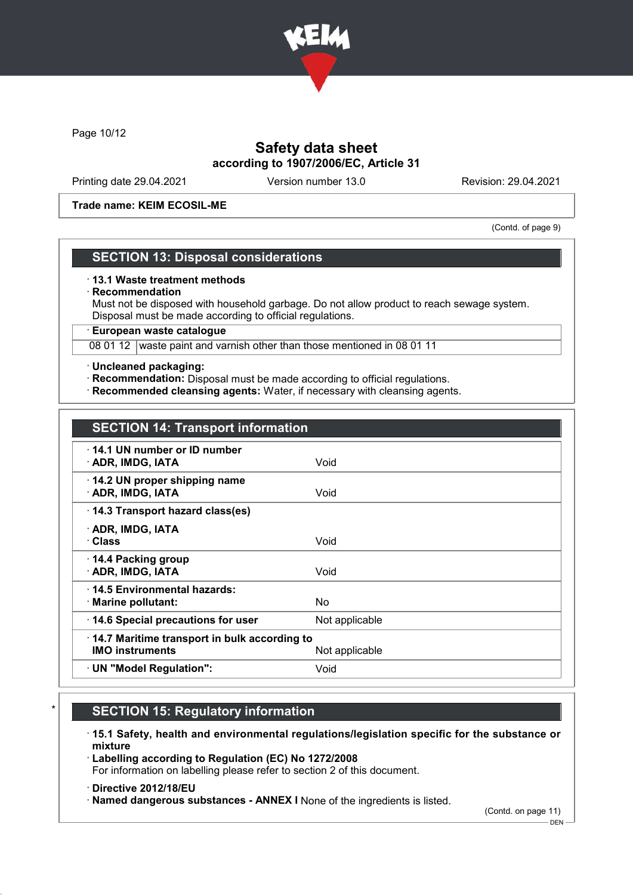

Page 10/12

## Safety data sheet according to 1907/2006/EC, Article 31

Printing date 29.04.2021 Version number 13.0 Revision: 29.04.2021

#### Trade name: KEIM ECOSIL-ME

(Contd. of page 9)

### SECTION 13: Disposal considerations

#### · 13.1 Waste treatment methods

· Recommendation

Must not be disposed with household garbage. Do not allow product to reach sewage system. Disposal must be made according to official regulations.

· European waste catalogue

08 01 12 waste paint and varnish other than those mentioned in 08 01 11

#### · Uncleaned packaging:

- · Recommendation: Disposal must be made according to official regulations.
- · Recommended cleansing agents: Water, if necessary with cleansing agents.

| <b>SECTION 14: Transport information</b> |  |
|------------------------------------------|--|
|------------------------------------------|--|

| 14.1 UN number or ID number                  |                |
|----------------------------------------------|----------------|
| · ADR, IMDG, IATA                            | Void           |
| 14.2 UN proper shipping name                 |                |
| · ADR, IMDG, IATA                            |                |
|                                              | Void           |
| 14.3 Transport hazard class(es)              |                |
| · ADR, IMDG, IATA                            |                |
| · Class                                      | Void           |
|                                              |                |
| 14.4 Packing group                           |                |
| · ADR, IMDG, IATA                            | Void           |
| ⋅14.5 Environmental hazards:                 |                |
| $\cdot$ Marine pollutant:                    | No.            |
| 14.6 Special precautions for user            | Not applicable |
| 14.7 Maritime transport in bulk according to |                |
| <b>IMO instruments</b>                       | Not applicable |
|                                              |                |
| · UN "Model Regulation":                     | Void           |
|                                              |                |

## **SECTION 15: Regulatory information**

· 15.1 Safety, health and environmental regulations/legislation specific for the substance or mixture

· Labelling according to Regulation (EC) No 1272/2008

For information on labelling please refer to section 2 of this document.

· Directive 2012/18/EU

· Named dangerous substances - ANNEX I None of the ingredients is listed.

(Contd. on page 11)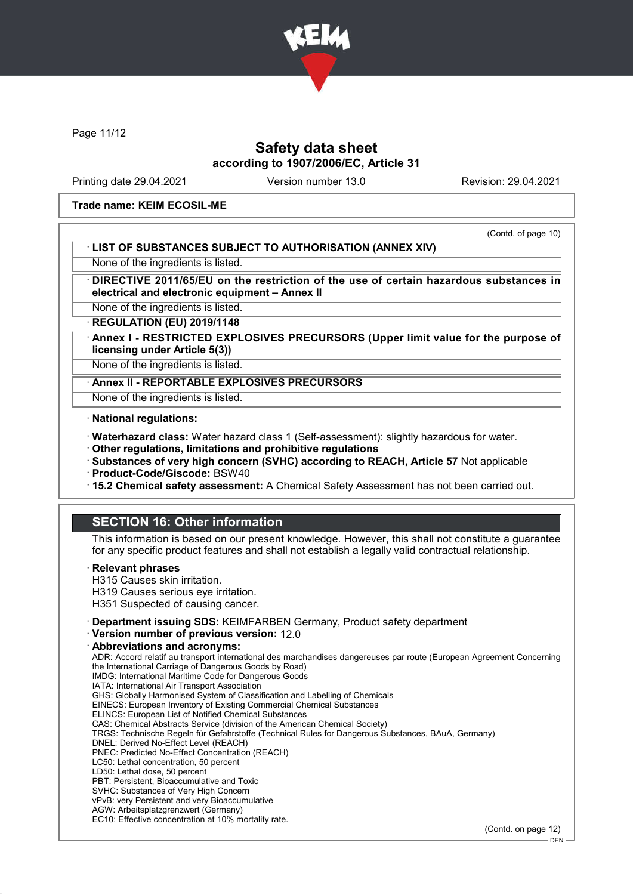

Page 11/12

### Safety data sheet according to 1907/2006/EC, Article 31

Printing date 29.04.2021 Version number 13.0 Revision: 29.04.2021

#### Trade name: KEIM ECOSIL-ME

#### (Contd. of page 10) · LIST OF SUBSTANCES SUBJECT TO AUTHORISATION (ANNEX XIV)

None of the ingredients is listed.

DIRECTIVE 2011/65/EU on the restriction of the use of certain hazardous substances in electrical and electronic equipment – Annex II

None of the ingredients is listed.

· REGULATION (EU) 2019/1148

Annex I - RESTRICTED EXPLOSIVES PRECURSORS (Upper limit value for the purpose of licensing under Article 5(3))

None of the ingredients is listed.

· Annex II - REPORTABLE EXPLOSIVES PRECURSORS

None of the ingredients is listed.

· National regulations:

· Waterhazard class: Water hazard class 1 (Self-assessment): slightly hazardous for water.

· Other regulations, limitations and prohibitive regulations

· Substances of very high concern (SVHC) according to REACH, Article 57 Not applicable

· Product-Code/Giscode: BSW40

· 15.2 Chemical safety assessment: A Chemical Safety Assessment has not been carried out.

## SECTION 16: Other information

This information is based on our present knowledge. However, this shall not constitute a guarantee for any specific product features and shall not establish a legally valid contractual relationship.

#### · Relevant phrases

H315 Causes skin irritation.

H319 Causes serious eye irritation.

H351 Suspected of causing cancer.

· Department issuing SDS: KEIMFARBEN Germany, Product safety department

· Version number of previous version: 12.0

#### · Abbreviations and acronyms:

ADR: Accord relatif au transport international des marchandises dangereuses par route (European Agreement Concerning the International Carriage of Dangerous Goods by Road) IMDG: International Maritime Code for Dangerous Goods IATA: International Air Transport Association GHS: Globally Harmonised System of Classification and Labelling of Chemicals EINECS: European Inventory of Existing Commercial Chemical Substances ELINCS: European List of Notified Chemical Substances CAS: Chemical Abstracts Service (division of the American Chemical Society) TRGS: Technische Regeln für Gefahrstoffe (Technical Rules for Dangerous Substances, BAuA, Germany) DNEL: Derived No-Effect Level (REACH) PNEC: Predicted No-Effect Concentration (REACH) LC50: Lethal concentration, 50 percent LD50: Lethal dose, 50 percent PBT: Persistent, Bioaccumulative and Toxic SVHC: Substances of Very High Concern vPvB: very Persistent and very Bioaccumulative AGW: Arbeitsplatzgrenzwert (Germany) EC10: Effective concentration at 10% mortality rate.

(Contd. on page 12)